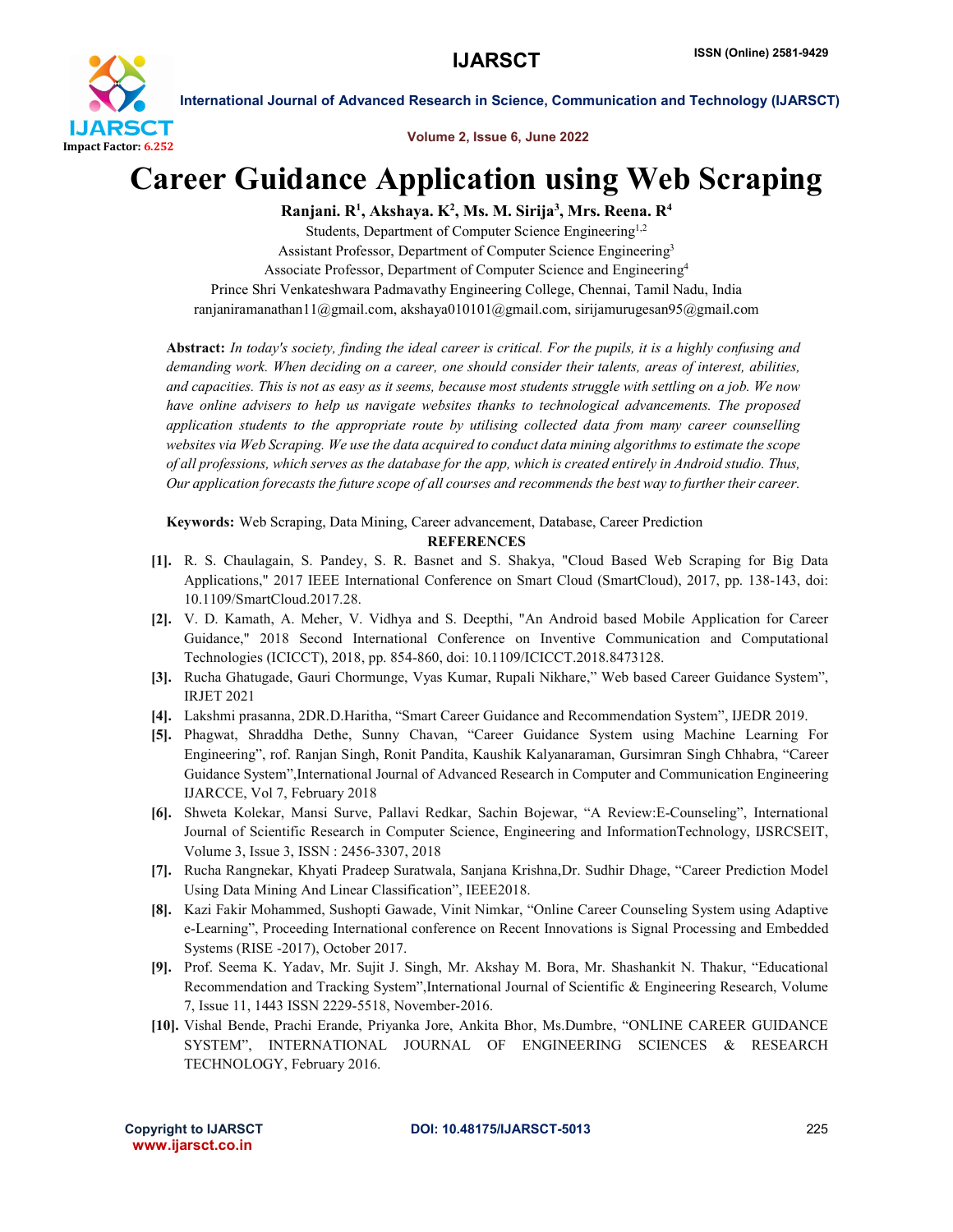

International Journal of Advanced Research in Science, Communication and Technology (IJARSCT)

Volume 2, Issue 6, June 2022

## Career Guidance Application using Web Scraping

Ranjani. R<sup>1</sup>, Akshaya. K<sup>2</sup>, Ms. M. Sirija<sup>3</sup>, Mrs. Reena. R<sup>4</sup>

Students, Department of Computer Science Engineering<sup>1,2</sup> Assistant Professor, Department of Computer Science Engineering3 Associate Professor, Department of Computer Science and Engineering4 Prince Shri Venkateshwara Padmavathy Engineering College, Chennai, Tamil Nadu, India ranjaniramanathan11@gmail.com, akshaya010101@gmail.com, sirijamurugesan95@gmail.com

Abstract: *In today's society, finding the ideal career is critical. For the pupils, it is a highly confusing and demanding work. When deciding on a career, one should consider their talents, areas of interest, abilities, and capacities. This is not as easy as it seems, because most students struggle with settling on a job. We now have online advisers to help us navigate websites thanks to technological advancements. The proposed application students to the appropriate route by utilising collected data from many career counselling websites via Web Scraping. We use the data acquired to conduct data mining algorithms to estimate the scope of all professions, which serves as the database for the app, which is created entirely in Android studio. Thus, Our application forecasts the future scope of all courses and recommends the best way to further their career.*

Keywords: Web Scraping, Data Mining, Career advancement, Database, Career Prediction

## **REFERENCES**

- [1]. R. S. Chaulagain, S. Pandey, S. R. Basnet and S. Shakya, "Cloud Based Web Scraping for Big Data Applications," 2017 IEEE International Conference on Smart Cloud (SmartCloud), 2017, pp. 138-143, doi: 10.1109/SmartCloud.2017.28.
- [2]. V. D. Kamath, A. Meher, V. Vidhya and S. Deepthi, "An Android based Mobile Application for Career Guidance," 2018 Second International Conference on Inventive Communication and Computational Technologies (ICICCT), 2018, pp. 854-860, doi: 10.1109/ICICCT.2018.8473128.
- [3]. Rucha Ghatugade, Gauri Chormunge, Vyas Kumar, Rupali Nikhare," Web based Career Guidance System", IRJET 2021
- [4]. Lakshmi prasanna, 2DR.D.Haritha, "Smart Career Guidance and Recommendation System", IJEDR 2019.
- [5]. Phagwat, Shraddha Dethe, Sunny Chavan, "Career Guidance System using Machine Learning For Engineering", rof. Ranjan Singh, Ronit Pandita, Kaushik Kalyanaraman, Gursimran Singh Chhabra, "Career Guidance System",International Journal of Advanced Research in Computer and Communication Engineering IJARCCE, Vol 7, February 2018
- [6]. Shweta Kolekar, Mansi Surve, Pallavi Redkar, Sachin Bojewar, "A Review:E-Counseling", International Journal of Scientific Research in Computer Science, Engineering and InformationTechnology, IJSRCSEIT, Volume 3, Issue 3, ISSN : 2456-3307, 2018
- [7]. Rucha Rangnekar, Khyati Pradeep Suratwala, Sanjana Krishna,Dr. Sudhir Dhage, "Career Prediction Model Using Data Mining And Linear Classification", IEEE2018.
- [8]. Kazi Fakir Mohammed, Sushopti Gawade, Vinit Nimkar, "Online Career Counseling System using Adaptive e-Learning", Proceeding International conference on Recent Innovations is Signal Processing and Embedded Systems (RISE -2017), October 2017.
- [9]. Prof. Seema K. Yadav, Mr. Sujit J. Singh, Mr. Akshay M. Bora, Mr. Shashankit N. Thakur, "Educational Recommendation and Tracking System",International Journal of Scientific & Engineering Research, Volume 7, Issue 11, 1443 ISSN 2229-5518, November-2016.
- [10]. Vishal Bende, Prachi Erande, Priyanka Jore, Ankita Bhor, Ms.Dumbre, "ONLINE CAREER GUIDANCE SYSTEM", INTERNATIONAL JOURNAL OF ENGINEERING SCIENCES & RESEARCH TECHNOLOGY, February 2016.